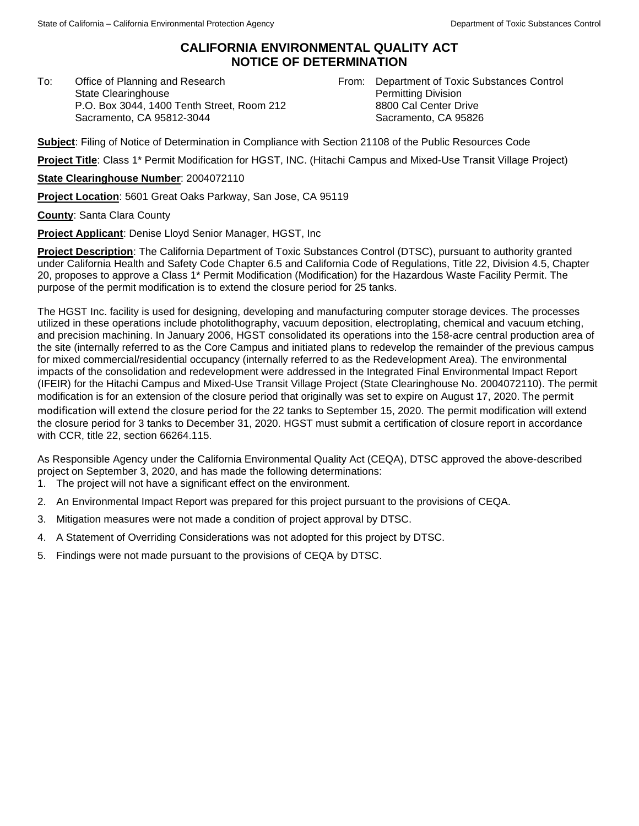## **CALIFORNIA ENVIRONMENTAL QUALITY ACT NOTICE OF DETERMINATION**

To: Office of Planning and Research State Clearinghouse P.O. Box 3044, 1400 Tenth Street, Room 212 Sacramento, CA 95812-3044

From: Department of Toxic Substances Control Permitting Division 8800 Cal Center Drive Sacramento, CA 95826

**Subject**: Filing of Notice of Determination in Compliance with Section 21108 of the Public Resources Code

**Project Title**: Class 1\* Permit Modification for HGST, INC. (Hitachi Campus and Mixed-Use Transit Village Project)

**State Clearinghouse Number**: 2004072110

**Project Location**: 5601 Great Oaks Parkway, San Jose, CA 95119

**County**: Santa Clara County

**Project Applicant**: Denise Lloyd Senior Manager, HGST, Inc

**Project Description**: The California Department of Toxic Substances Control (DTSC), pursuant to authority granted under California Health and Safety Code Chapter 6.5 and California Code of Regulations, Title 22, Division 4.5, Chapter 20, proposes to approve a Class 1\* Permit Modification (Modification) for the Hazardous Waste Facility Permit. The purpose of the permit modification is to extend the closure period for 25 tanks.

The HGST Inc. facility is used for designing, developing and manufacturing computer storage devices. The processes utilized in these operations include photolithography, vacuum deposition, electroplating, chemical and vacuum etching, and precision machining. In January 2006, HGST consolidated its operations into the 158-acre central production area of the site (internally referred to as the Core Campus and initiated plans to redevelop the remainder of the previous campus for mixed commercial/residential occupancy (internally referred to as the Redevelopment Area). The environmental impacts of the consolidation and redevelopment were addressed in the Integrated Final Environmental Impact Report (IFEIR) for the Hitachi Campus and Mixed-Use Transit Village Project (State Clearinghouse No. 2004072110). The permit modification is for an extension of the closure period that originally was set to expire on August 17, 2020. The permit modification will extend the closure period for the 22 tanks to September 15, 2020. The permit modification will extend the closure period for 3 tanks to December 31, 2020. HGST must submit a certification of closure report in accordance with CCR, title 22, section 66264.115.

As Responsible Agency under the California Environmental Quality Act (CEQA), DTSC approved the above-described project on September 3, 2020, and has made the following determinations:

- 1. The project will not have a significant effect on the environment.
- 2. An Environmental Impact Report was prepared for this project pursuant to the provisions of CEQA.
- 3. Mitigation measures were not made a condition of project approval by DTSC.
- 4. A Statement of Overriding Considerations was not adopted for this project by DTSC.
- 5. Findings were not made pursuant to the provisions of CEQA by DTSC.